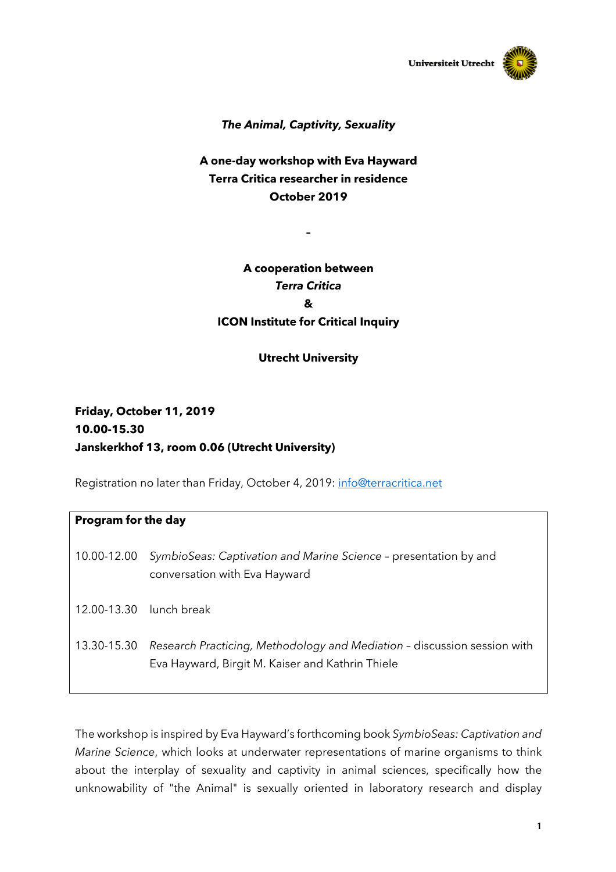

### *The Animal, Captivity, Sexuality*

### **A one-day workshop with Eva Hayward Terra Critica researcher in residence October 2019**

**–**

# **A cooperation between**  *Terra Critica* **& ICON Institute for Critical Inquiry**

#### **Utrecht University**

# **Friday, October 11, 2019 10.00-15.30 Janskerkhof 13, room 0.06 (Utrecht University)**

Registration no later than Friday, October 4, 2019: info@terracritica.net

| Program for the day |                                                                                                                              |
|---------------------|------------------------------------------------------------------------------------------------------------------------------|
|                     | 10.00-12.00 SymbioSeas: Captivation and Marine Science - presentation by and<br>conversation with Eva Hayward                |
|                     | 12.00-13.30 lunch break                                                                                                      |
| 13.30-15.30         | Research Practicing, Methodology and Mediation - discussion session with<br>Eva Hayward, Birgit M. Kaiser and Kathrin Thiele |

The workshop is inspired by Eva Hayward's forthcoming book *SymbioSeas: Captivation and Marine Science*, which looks at underwater representations of marine organisms to think about the interplay of sexuality and captivity in animal sciences, specifically how the unknowability of "the Animal" is sexually oriented in laboratory research and display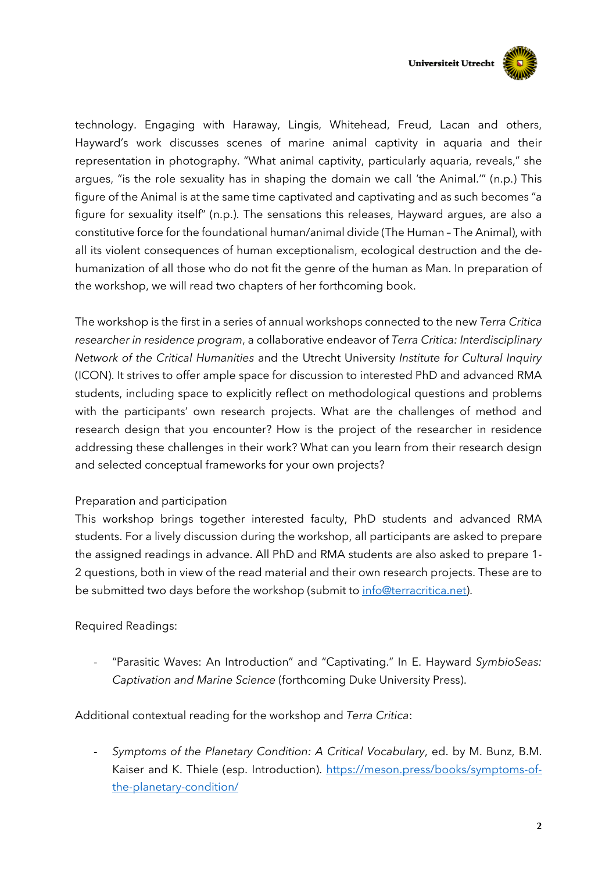

technology. Engaging with Haraway, Lingis, Whitehead, Freud, Lacan and others, Hayward's work discusses scenes of marine animal captivity in aquaria and their representation in photography. "What animal captivity, particularly aquaria, reveals," she argues, "is the role sexuality has in shaping the domain we call 'the Animal.'" (n.p.) This figure of the Animal is at the same time captivated and captivating and as such becomes "a figure for sexuality itself" (n.p.). The sensations this releases, Hayward argues, are also a constitutive force for the foundational human/animal divide (The Human – The Animal), with all its violent consequences of human exceptionalism, ecological destruction and the dehumanization of all those who do not fit the genre of the human as Man. In preparation of the workshop, we will read two chapters of her forthcoming book.

The workshop is the first in a series of annual workshops connected to the new *Terra Critica researcher in residence program*, a collaborative endeavor of *Terra Critica: Interdisciplinary Network of the Critical Humanities* and the Utrecht University *Institute for Cultural Inquiry* (ICON). It strives to offer ample space for discussion to interested PhD and advanced RMA students, including space to explicitly reflect on methodological questions and problems with the participants' own research projects. What are the challenges of method and research design that you encounter? How is the project of the researcher in residence addressing these challenges in their work? What can you learn from their research design and selected conceptual frameworks for your own projects?

#### Preparation and participation

This workshop brings together interested faculty, PhD students and advanced RMA students. For a lively discussion during the workshop, all participants are asked to prepare the assigned readings in advance. All PhD and RMA students are also asked to prepare 1- 2 questions, both in view of the read material and their own research projects. These are to be submitted two days before the workshop (submit to info@terracritica.net).

### Required Readings:

- "Parasitic Waves: An Introduction" and "Captivating." In E. Hayward *SymbioSeas: Captivation and Marine Science* (forthcoming Duke University Press).

Additional contextual reading for the workshop and *Terra Critica*:

- *Symptoms of the Planetary Condition: A Critical Vocabulary*, ed. by M. Bunz, B.M. Kaiser and K. Thiele (esp. Introduction). https://meson.press/books/symptoms-ofthe-planetary-condition/